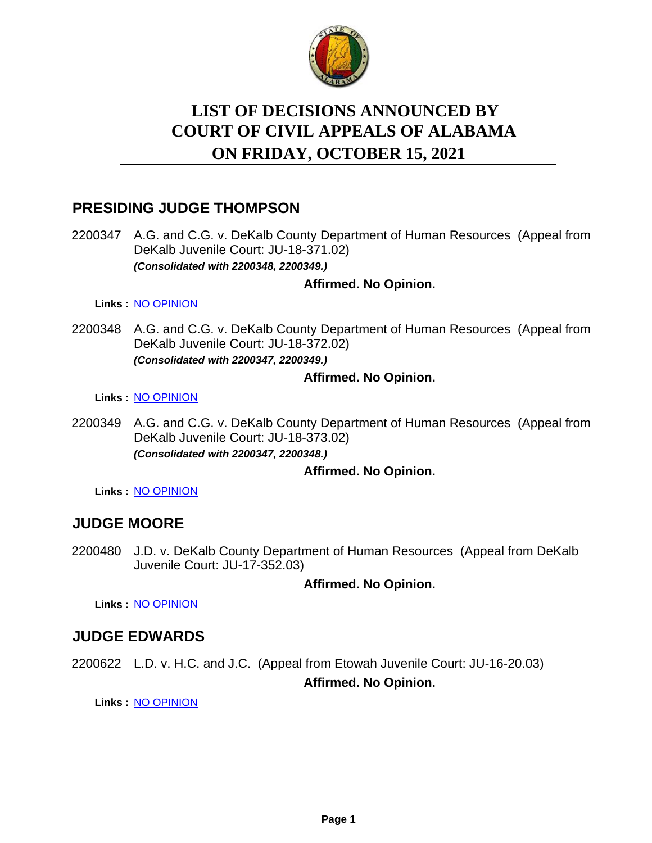

# **LIST OF DECISIONS ANNOUNCED BY ON FRIDAY, OCTOBER 15, 2021 COURT OF CIVIL APPEALS OF ALABAMA**

## **PRESIDING JUDGE THOMPSON**

2200347 A.G. and C.G. v. DeKalb County Department of Human Resources (Appeal from DeKalb Juvenile Court: JU-18-371.02) *(Consolidated with 2200348, 2200349.)*

#### **Affirmed. No Opinion.**

**Links :** [NO OPINION](https://acis.alabama.gov/displaydocs.cfm?no=1102399&event=6630J4W8J)

2200348 A.G. and C.G. v. DeKalb County Department of Human Resources (Appeal from DeKalb Juvenile Court: JU-18-372.02) *(Consolidated with 2200347, 2200349.)*

#### **Affirmed. No Opinion.**

**Links :** [NO OPINION](https://acis.alabama.gov/displaydocs.cfm?no=1102399&event=6630J4W8J)

2200349 A.G. and C.G. v. DeKalb County Department of Human Resources (Appeal from DeKalb Juvenile Court: JU-18-373.02) *(Consolidated with 2200347, 2200348.)*

**Affirmed. No Opinion.**

**Links :** [NO OPINION](https://acis.alabama.gov/displaydocs.cfm?no=1102399&event=6630J4W8J)

### **JUDGE MOORE**

2200480 J.D. v. DeKalb County Department of Human Resources (Appeal from DeKalb Juvenile Court: JU-17-352.03)

**Affirmed. No Opinion.**

**Links :** [NO OPINION](https://acis.alabama.gov/displaydocs.cfm?no=1102400&event=6630J4WM6)

# **JUDGE EDWARDS**

2200622 L.D. v. H.C. and J.C. (Appeal from Etowah Juvenile Court: JU-16-20.03) **Affirmed. No Opinion.**

**Links :** [NO OPINION](https://acis.alabama.gov/displaydocs.cfm?no=1102402&event=6630J4WRF)